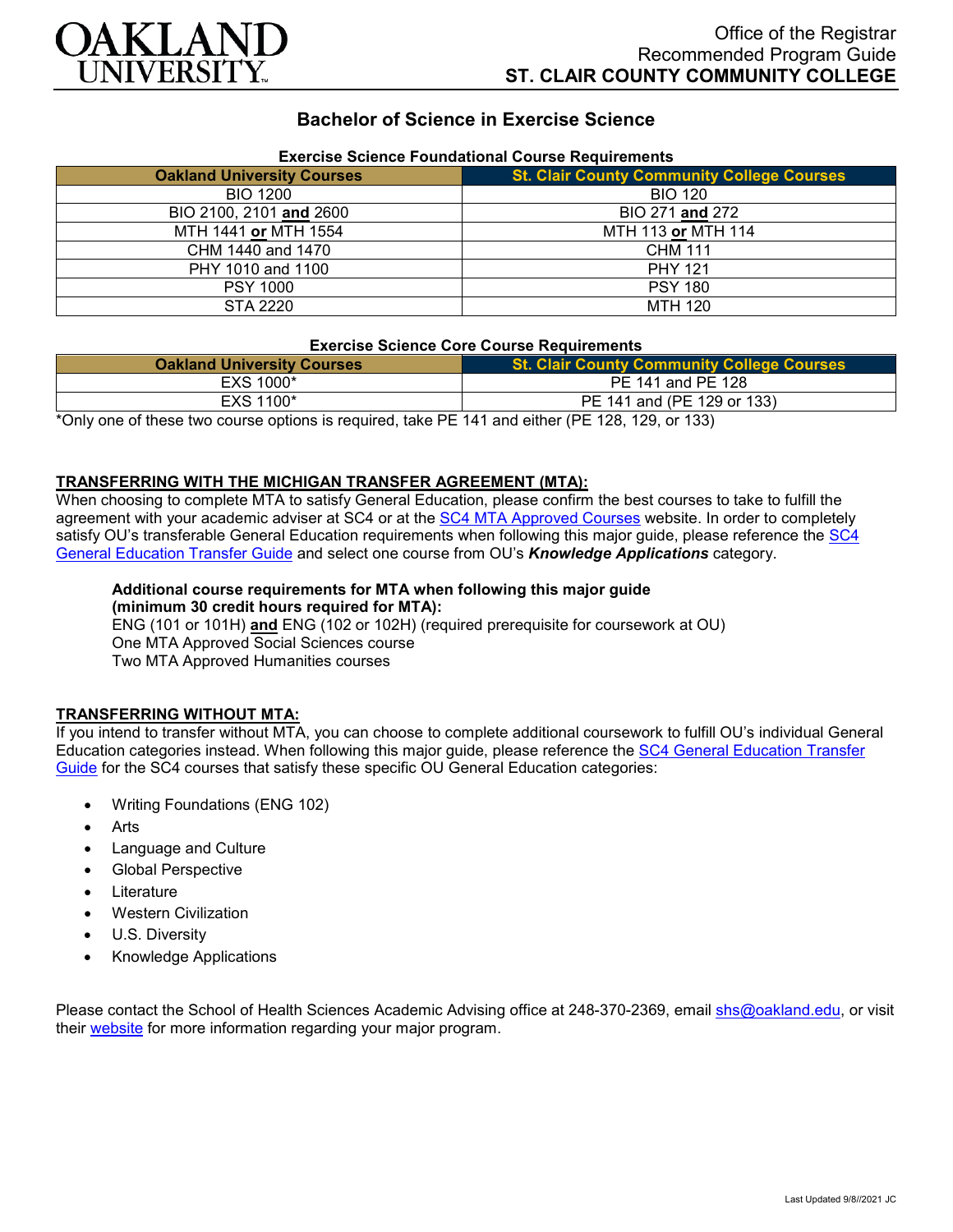

# **Bachelor of Science in Exercise Science**

| Exercise Science Foundational Course Requirements |                                                   |
|---------------------------------------------------|---------------------------------------------------|
| <b>Oakland University Courses</b>                 | <b>St. Clair County Community College Courses</b> |
| <b>BIO 1200</b>                                   | <b>BIO 120</b>                                    |
| BIO 2100, 2101 and 2600                           | BIO 271 and 272                                   |
| MTH 1441 or MTH 1554                              | MTH 113 or MTH 114                                |
| CHM 1440 and 1470                                 | <b>CHM 111</b>                                    |
| PHY 1010 and 1100                                 | <b>PHY 121</b>                                    |
| <b>PSY 1000</b>                                   | <b>PSY 180</b>                                    |
| STA 2220                                          | <b>MTH 120</b>                                    |

# **Exercise Science Foundational Course Requirements**

### **Exercise Science Core Course Requirements**

| <b>Oakland University Courses</b>                                                                     | <b>St. Clair County Community College Courses</b> |
|-------------------------------------------------------------------------------------------------------|---------------------------------------------------|
| EXS 1000*                                                                                             | PE 141 and PE 128                                 |
| EXS 1100*                                                                                             | PE 141 and (PE 129 or 133)                        |
| *Only one of these two course ontions is required take PF $141$ and either (PF $128$ $129$ or $133$ ) |                                                   |

\*Only one of these two course options is required, take PE 141 and either (PE 128, 129, or 133)

### **TRANSFERRING WITH THE MICHIGAN TRANSFER AGREEMENT (MTA):**

When choosing to complete MTA to satisfy General Education, please confirm the best courses to take to fulfill the agreement with your academic adviser at SC4 or at the [SC4 MTA Approved Courses](https://sc4.edu/admissions/transferring-after-sc4/michigan-transfer-agreement/) website. In order to completely satisfy OU's transferable General Education requirements when following this major guide, please reference the [SC4](https://www.oakland.edu/Assets/Oakland/program-guides/st-clair-county-community-college/university-general-education-requirements/SC4%20Gen%20Ed.pdf)  [General Education Transfer Guide](https://www.oakland.edu/Assets/Oakland/program-guides/st-clair-county-community-college/university-general-education-requirements/SC4%20Gen%20Ed.pdf) and select one course from OU's *Knowledge Applications* category.

#### **Additional course requirements for MTA when following this major guide (minimum 30 credit hours required for MTA):**

ENG (101 or 101H) **and** ENG (102 or 102H) (required prerequisite for coursework at OU) One MTA Approved Social Sciences course Two MTA Approved Humanities courses

### **TRANSFERRING WITHOUT MTA:**

If you intend to transfer without MTA, you can choose to complete additional coursework to fulfill OU's individual General Education categories instead. When following this major guide, please reference the [SC4 General Education Transfer](https://www.oakland.edu/Assets/Oakland/program-guides/st-clair-county-community-college/university-general-education-requirements/SC4%20Gen%20Ed.pdf)  [Guide](https://www.oakland.edu/Assets/Oakland/program-guides/st-clair-county-community-college/university-general-education-requirements/SC4%20Gen%20Ed.pdf) for the SC4 courses that satisfy these specific OU General Education categories:

- Writing Foundations (ENG 102)
- Arts
- Language and Culture
- Global Perspective
- **Literature**
- Western Civilization
- U.S. Diversity
- Knowledge Applications

Please contact the School of Health Sciences Academic Advising office at 248-370-2369, email [shs@oakland.edu,](mailto:shs@oakland.edu) or visit their [website](http://www.oakland.edu/shs/advising) for more information regarding your major program.